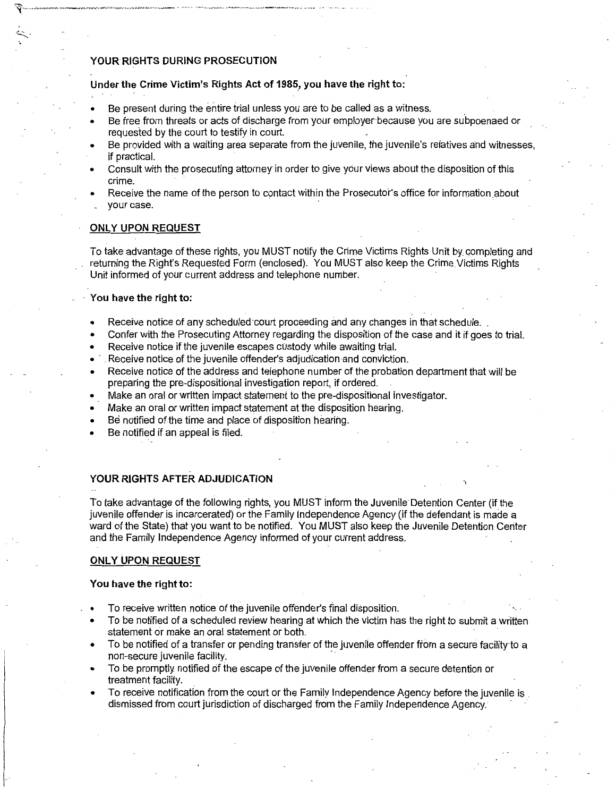## **YOUR RIGHTS DURING PROSECUTION**

## **Under the Crime Victim's Rights Act of 1985., you have the right to:**

- Be present during the entire trial unless you are to be called as a witness.
- Be free from threats or acts of discharge from your employer-because you are subpoenaed or requested by the court to testify in court.
- Be provided with a waiting area separate from the juvenile, the juvenile's relatives and witnesses if practical.
- Consult with the prosecuting attorney in order to give your views about the disposition of this crime.
- Receive the name of the person to contact within the Prosecutor's office for information about . your case.

# **ONLY UPON REQUEST**

To take advantage of these rights, you MUST notify the Crime Victims Rights Unit by completing and returning the Right's Requested Form (enclosed). You MUST also keep the Crime Victims Rights Unit informed of your current address and telephone number.

### · **You have the right to:**

- Receive notice of any scheduled court proceeding and any changes in that schedule.
- Confer with the Prosecuting Attorney regarding the disposition of the case and it if goes to trial.
- Receive notice if the juvenile escapes custody while awaiting trial.
- . Receive notice of the juvenile offender's adjudication-and conviction.
- Receive notice of the address and telephone number of the probation department that will be preparing the pre-dispositional investigation report, if ordered.
- Make an oral or written impact statement to the pre-dispositional investigator.
- Make an oral or written impact statement at the disposition hearing.
- Be notified of the time and place of disposition hearing.
- Be notified if an appeal is filed.

# **YOUR RIGHTS AFTER ADJUDICATION**

To take advantage of the following rights, you MUST inform the Juvenile Detention Center (if the juvenile offender is incarcerated) or the Family Independence Agency (if the defendant is made a ward of the State) that you want to be notified. You MUST also keep the Juvenile Detention Center and the Family Independence Agency informed of your current address.

## **ONLY UPON REQUEST**

#### **You have the right to:**

- To receive written notice of the juvenile offender's final disposition.
- To be notified of a scheduled review hearing at which the victim has the right to submit a written statement or make an oral statement or both.
- To be notified of a transfer or pending transfer of the juvenile offender from a secure facility·to a non-secure juvenile facility.
- To be promptly, notified of the escape of the juvenile offender from a secure detention or treatment facility.
- To receive notification from the court or the Family Independence Agency before the juvenile is dismissed from court jurisdiction of discharged from the Family Independence Agency. ·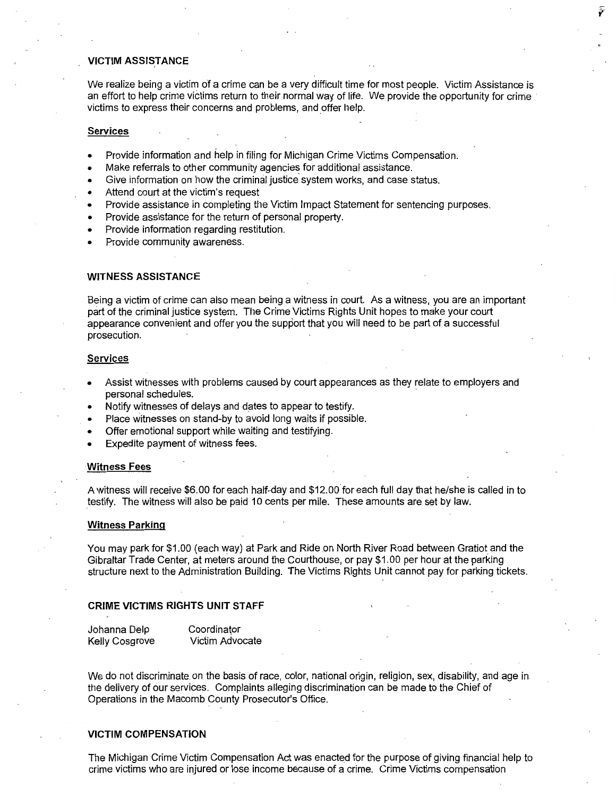## **VICTIM ASSISTANCE**

We realize being a victim of a crime can be a very difficult time for most people. Victim Assistance is an effort to help crime victims return to their normal way of life. We provide the opportunity for crime victims to express their concerns and problems, and offer help.

### **Services**

- Provide information and help in filing for Michigan Crime Victims Compensation.
- Make referrals to other community agencies for additional assistance.
- Give information on how the criminal justice system works, and case status.
- Attend court at the victim's request
- Provide assistance in completing the Victim Impact Statement for sentencing purposes.
- Provide assistance for the return of personal property.
- Provide information regarding restitution.
- Provide community awareness.

### **WITNESS ASSISTANCE**

Being a victim of crime can also mean being a witness in court. As a witness, you are an important part of the criminal justice system. The Crime Victims Rights Unit hopes to make your court appearance convenient and offer you the support that you will need to be part of a successful prosecution.

#### **Services**

- Assist witnesses with problems caused by court appearances as they relate to employers and personal schedules.
- Notify witnesses of delays and dates to appear to testify.
- Place witnesses on stand-by to avoid long waits if possible.
- Offer emotional support while waiting and testifying.
- Expedite payment of witness fees.

#### **Witness Fees**

A witness will receive \$6.00 for each half-day and \$12.00.for each full day that he/she is called in to testify. The witness will also be paid 10 cents per mile. These amounts are set by law.

#### **Witness Parking**

You may park for \$1.00 (each way) at Park and Ride on North River Road between Gratiot and the Gibraltar Trade Center, at meters around the Courthouse, or pay \$1.00 per hour at the parking structure next to the Administration Building. The Victims Rights Unit cannot pay for parking tickets.

#### **CRIME VICTIMS RIGHTS UNIT STAFF**

| Johanna Delp          | Coordinator     |
|-----------------------|-----------------|
| <b>Kelly Cosgrove</b> | Victim Advocate |

We do not discriminate. on the basis of race, color, national origin, religion, sex, disability, and age in the delivery of our services. Complaints alleging discrimination can be made to the Chief of Operations in the Macomb County Prosecutor's Office.

### **VICTIM COMPENSATION**

The Michigan Crime Victim Compensation Act was enacted for the purpose of giving financial help to crime victims who are injured or lose income because of a crime. Crime Victims compensation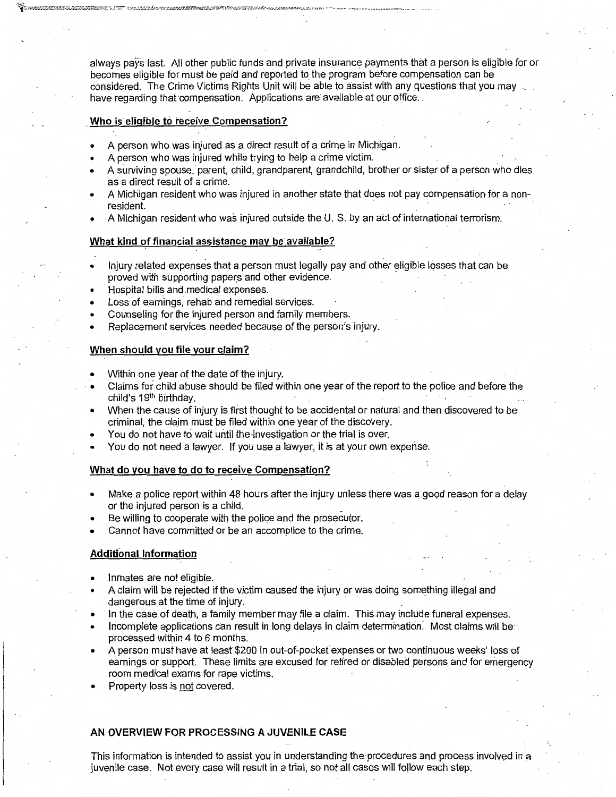always pays last. All other public funds and private insurance payments that a person is eligible for or becomes eligible for must be paid and reported to the program before compensation can be considered. The Crime Victims Rights Unit will be able to assist with any questions that you may have regarding that compensation. Applications are available at our office.

## . **Who is.eligible to receive Compensation?**

- A person who was injured as a direct result of a crime in Michigan.
- A person who was injured while trying to help a crime victim.
- A surviving spouse, parent, child, grandparent, grandchild, brother or sister of a person who dies as a direct result of a crime.
- A Michigan resident Who was injured in another state that does not pay compensation for a nonresident.
- A Michigan resident who was injured outside the U.S. by an actofinternatiohal terrorism.

### What kind of financial assistance may be available?

- Injury related expenses that a person must legally pay and other eligible losses that can be proved with supporting papers and other evidence.
- Hospital bills and.medical expenses.
- Loss of earnings, rehab and remedial services.
- Counseling for the injured person and family members.
- Replacement services needed because of the person's injury.

## **When should you file your claim?**

- Within one year of the date of the injury.
- Claims for child abuse should be filed within one year of the report to the police and before the child's 19th birthday.
- When the cause of injury is first thought to be accidental or natural and then discovered to be criminal, the claim must be filed within one year of the discovery.
- You do not have to wait until the investigation or the trial is over.
- You do not need a lawyer. If you use a lawyer, it is at your own expense.

### **What do you have to do to receive Compensation?**

- Make a police report within 48 hours after the injury unless there was a good reason for a delay or the injured person is a child.
- Be willing to cooperate with the police and the prosecutor.
- Cannot have committed or be an accomplice to the crime.

# **Additional Information**

- Inmates are not eligible.
- A claim will be rejected if the victim caused the injury or was doing something illegal and dangerous at the time of injury.
- In the case of death, a family member may file a claim. This may include funeral expenses.
- Incomplete applications can result in long delays in claim determination. Most claims will be processed within 4 to 6 months.
- A person must have at leasr \$200 in out-of-pocket' expenses or two continuous weeks' loss of earnings or support. These limits are excused for retired or disabled persons and for emergency room medical exams for rape victims.
- Property loss is not covered.

# **AN OVERVIEW FOR PROCESSING A JUVENILE CASE**

This information is intended to assist you in understanding the-procedures and process involved in a juvenile case. Not every case will result in a trial, so not all cases will follow each step.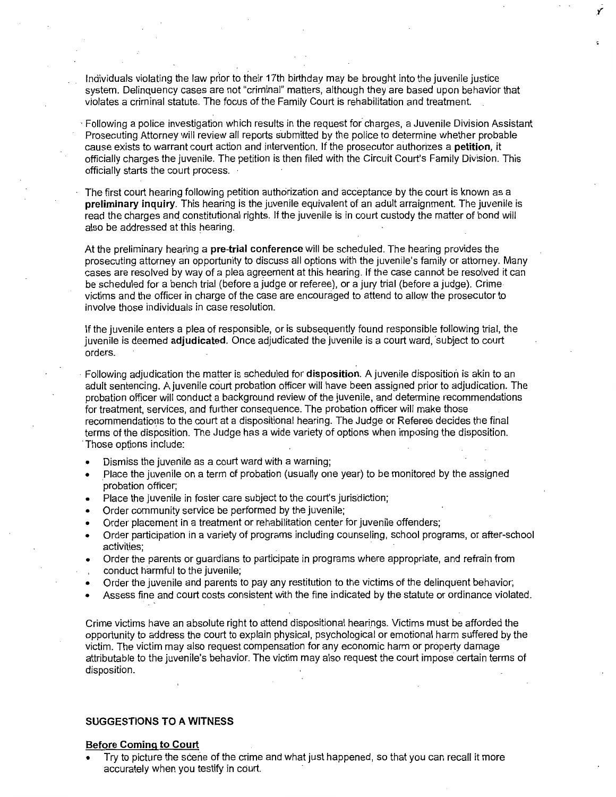Individuals violating the law prior to their 17th birthday may be brought into the juvenile justice system. Delinquency cases are not "criminal" matters, although they are based upon behavior that violates a criminal statute. The focus of the Family Court is rehabilitation and treatment.

· Following a police investigation which results in the request for charges, a Juvenile Division Assistant Prosecuting Attorney will review all reports submitted by the police to determine whether probable cause exists to warrant court action and intervention. If the prosecutor authorizes a **petition,** it officially charges the juvenile. The petition is then filed with the Circuit Court's Family Division. This officially starts the court process.

The first court hearing following petition authorization and acceptance by the court is known as a **preliminary inquiry.** This hearing is the juvenile equivalent of an adult arraignment. The juvenile is read the charges and constitutional rights. If the juvenile is in court custody the matter of bond will also be addressed at this hearing.

At the preliminary hearing a **pre-trial conference** will be scheduled. The hearing provides the prosecuting attorney an opportunity to discuss all options with the juvenile's family or attorney. Many cases are resolved by way of a plea agreement at this hearing. If the case cannot be resolved it can be scheduled for a bench trial (before a judge or referee), or a jury trial (before a judge). Crime victims and the officer in charge of the case are encouraged to attend to allow the prosecutor to involve those individuals in case resolution.

If the juvenile enters a plea of responsible, or is subsequently found responsible following trial, the juvenile is deemed adjudicated. Once adjudicated the juvenile is a court ward, subject to court orders.

· Following adjudication the matter is scheduled for **disposition.** A juvenile disposition is akin to an adult sentencing. A juvenile court probation officer will have been assigned prior to adjudication. The probation officer will conduct a background review of the juvenile, and determine recommendations for treatment, services, and further consequence. The probation officer will make those recommendations to the court at a dispositional hearing. The Judge or Referee decides the final terms of the disposition. The Judge has a wide variety of options when imposing the disposition. · Those options include:

- Dismiss the juvenile as a court ward with a warning;
- Place the juvenile on a term of probation (usually one year) to be monitored by the assigned probation officer;
- Place the juvenile in foster care subject to the court's jurisdiction;
- Order community service be performed by the juvenile;
- Order placement in a treatment or rehabilitation center for juvenile offenders;
- Order participation in a variety of programs including counseling, school programs, or after-school activities;
- Order the parents or guardians to participate in programs where appropriate, and refrain from conduct harmful to the juvenile;
- Order the juvenile and parents to pay any restitution to the victims of the delinquent behavior;
- Assess fine and court costs consistent with the fine indicated by the statute or ordinance violated.

Crime victims have an absolute right to attend dispositional hearings. Victims must be afforded the opportunity to address the court to explain physical, psychological or emotional harm suffered by the victim. The victim may also request compensation for any economic harm or property damage attributable to the juvenile's behavior. The victim may also request the court impose certain terms of disposition.

## **SUGGESTIONS TO A WITNESS**

#### **Before Coming to Court**

Try to picture the scene of the crime and what just happened, so that you can recall it more accurately when you testify in court.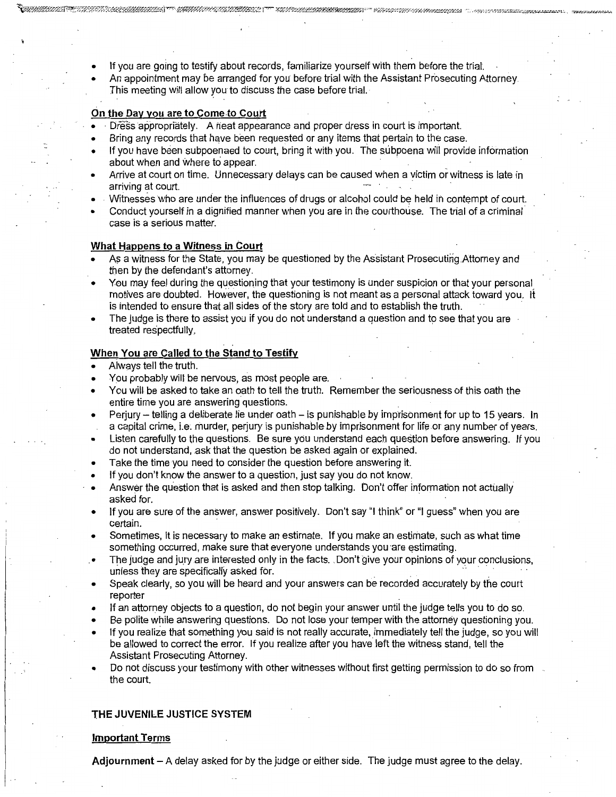- If you are going to testify about records, familiarize yourself with them before the trial.
- An appointment may be arranged for you before trial with the Assistant Prosecuting Attorney. This meeting will allow you to discuss the case before trial.

# **On the Day you are to Come.to Court**

- Dress appropriately. A neat appearance and proper dress in court is important.
- Bring any records that have been requested or any items that pertain to the case.
- If you have been subpoenaed to court, bring it with you. The subpoena will provide information about when and where to appear.
- Arrive at court on time. Unnecessary delays can be caused when a victim or witness is late in arriving at court.
- Witnesses who are under the influences of drugs or alcohol could be held in contempt of court.
- Conduct yourself in a dignified manner when you are in the courthouse. The trial of a criminal case is a serious matter.

# **What Happens to a Witness in Court**

- As a witness for the State, you may be questioned by the Assistant Prosecuting.Attorney and then by the defendant's attorney.
- Yeu may feel during the questioning that your testimony is under suspicion or that your personal motives are doubted. However, the questioning is not meant as a personal attack toward you. It is intended to ensure that all sides of the story are told and to establish the truth.
- The judge is there to assist you if you do not understand a question and to see that you are treated respectfully.

# **When You are Called to the Stand to Testify**

- Always tell the truth.
- You probably will be nervous, as most people are.
- You will be asked to take an oath to tell the truth. Remember the seriousness of this oath the entire time you are answering questions.
- Perjury telling a deliberate lie under oath is punishable by imprisonment for up to 15 years. In a capital crime, i.e. murder, perjury is punishable by imprisonment for life or any number of years.
- Listen carefully to the questions. Be sure you understand each question before answering. If you do not understand, ask that the question be asked again or explained.
- Take the time you need to consider the question before answering it.
- If you don't know the answer to a question, just say you do not know.
- Answer the question that is asked and then stop talking. Don't offer information not actually asked for.
- If you are sure of the answer, answer positively. Don't say "I think" or "I guess" when you are certain.
- Sometimes, it is necessary to make an estimate. If you make an estimate, such as what time something occurred, make sure that everyone understands you are estimating.
- The judge and jury are interested only in the facts. , Don't give your opinions of your conclusions, unless they are specifically asked for.
- Speak clearly, so you will be heard and your answers can be recorded accurately by the court reporter
- If an attorney objects to a question, do not begin your answer until the judge tells you to do so.
- Be polite while answering questions. Do not lose your temper with the attorney questioning you.
- If you realize that something you said is not really accurate, immediately tell the judge, so you will be allowed to correct the error. If you realize after you have left the witness stand, tell the Assistant Prosecuting Attorney.
- Do not discuss your testimony with other witnesses without first getting permission to do so from the court.

# **THE JUVENILE JUSTICE SYSTEM**

# **Important Terms**

**Adjournment-** A delay asked for by the judge or either side. The judge must agree to the delay.